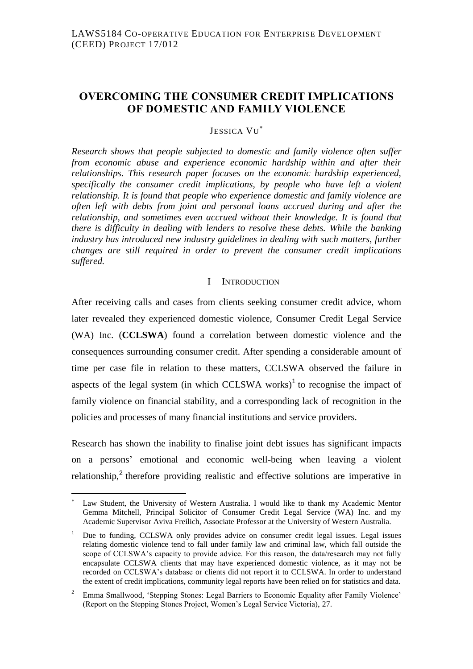# **OVERCOMING THE CONSUMER CREDIT IMPLICATIONS OF DOMESTIC AND FAMILY VIOLENCE**

JESSICA VU

*Research shows that people subjected to domestic and family violence often suffer from economic abuse and experience economic hardship within and after their relationships. This research paper focuses on the economic hardship experienced, specifically the consumer credit implications, by people who have left a violent relationship. It is found that people who experience domestic and family violence are often left with debts from joint and personal loans accrued during and after the relationship, and sometimes even accrued without their knowledge. It is found that there is difficulty in dealing with lenders to resolve these debts. While the banking industry has introduced new industry guidelines in dealing with such matters, further changes are still required in order to prevent the consumer credit implications suffered.*

### I INTRODUCTION

After receiving calls and cases from clients seeking consumer credit advice, whom later revealed they experienced domestic violence, Consumer Credit Legal Service (WA) Inc. (**CCLSWA**) found a correlation between domestic violence and the consequences surrounding consumer credit. After spending a considerable amount of time per case file in relation to these matters, CCLSWA observed the failure in aspects of the legal system (in which CCLSWA works) $1$  to recognise the impact of family violence on financial stability, and a corresponding lack of recognition in the policies and processes of many financial institutions and service providers.

Research has shown the inability to finalise joint debt issues has significant impacts on a persons' emotional and economic well-being when leaving a violent relationship, $2$  therefore providing realistic and effective solutions are imperative in

 $\overline{a}$ 

Law Student, the University of Western Australia. I would like to thank my Academic Mentor Gemma Mitchell, Principal Solicitor of Consumer Credit Legal Service (WA) Inc. and my Academic Supervisor Aviva Freilich, Associate Professor at the University of Western Australia.

<sup>1</sup> Due to funding, CCLSWA only provides advice on consumer credit legal issues. Legal issues relating domestic violence tend to fall under family law and criminal law, which fall outside the scope of CCLSWA's capacity to provide advice. For this reason, the data/research may not fully encapsulate CCLSWA clients that may have experienced domestic violence, as it may not be recorded on CCLSWA's database or clients did not report it to CCLSWA. In order to understand the extent of credit implications, community legal reports have been relied on for statistics and data.

<sup>2</sup> Emma Smallwood, 'Stepping Stones: Legal Barriers to Economic Equality after Family Violence' (Report on the Stepping Stones Project, Women's Legal Service Victoria), 27.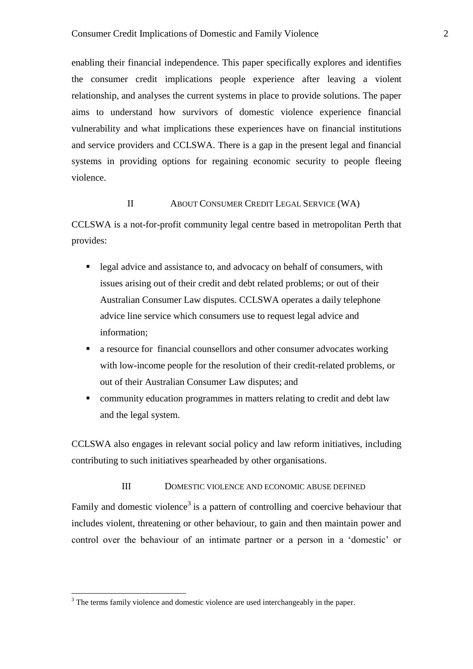enabling their financial independence. This paper specifically explores and identifies the consumer credit implications people experience after leaving a violent relationship, and analyses the current systems in place to provide solutions. The paper aims to understand how survivors of domestic violence experience financial vulnerability and what implications these experiences have on financial institutions and service providers and CCLSWA. There is a gap in the present legal and financial systems in providing options for regaining economic security to people fleeing violence.

#### II ABOUT CONSUMER CREDIT LEGAL SERVICE (WA)

CCLSWA is a not-for-profit community legal centre based in metropolitan Perth that provides:

- legal advice and assistance to, and advocacy on behalf of consumers, with issues arising out of their credit and debt related problems; or out of their Australian Consumer Law disputes. CCLSWA operates a daily telephone advice line service which consumers use to request legal advice and information;
- a resource for financial counsellors and other consumer advocates working with low-income people for the resolution of their credit-related problems, or out of their Australian Consumer Law disputes; and
- community education programmes in matters relating to credit and debt law and the legal system.

CCLSWA also engages in relevant social policy and law reform initiatives, including contributing to such initiatives spearheaded by other organisations.

III DOMESTIC VIOLENCE AND ECONOMIC ABUSE DEFINED

Family and domestic violence<sup>3</sup> is a pattern of controlling and coercive behaviour that includes violent, threatening or other behaviour, to gain and then maintain power and control over the behaviour of an intimate partner or a person in a 'domestic' or

<sup>&</sup>lt;sup>3</sup> The terms family violence and domestic violence are used interchangeably in the paper.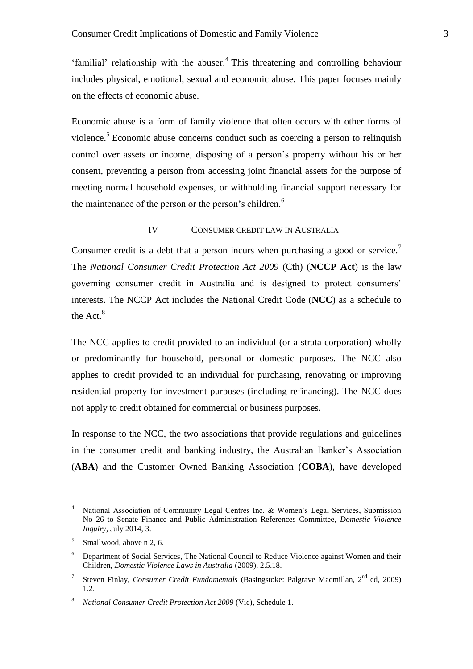'familial' relationship with the abuser.<sup>4</sup> This threatening and controlling behaviour includes physical, emotional, sexual and economic abuse. This paper focuses mainly on the effects of economic abuse.

Economic abuse is a form of family violence that often occurs with other forms of violence.<sup>5</sup> Economic abuse concerns conduct such as coercing a person to relinquish control over assets or income, disposing of a person's property without his or her consent, preventing a person from accessing joint financial assets for the purpose of meeting normal household expenses, or withholding financial support necessary for the maintenance of the person or the person's children.<sup>6</sup>

#### IV CONSUMER CREDIT LAW IN AUSTRALIA

Consumer credit is a debt that a person incurs when purchasing a good or service.<sup>7</sup> The *National Consumer Credit Protection Act 2009* (Cth) (**NCCP Act**) is the law governing consumer credit in Australia and is designed to protect consumers' interests. The NCCP Act includes the National Credit Code (**NCC**) as a schedule to the Act.<sup>8</sup>

The NCC applies to credit provided to an individual (or a strata corporation) wholly or predominantly for household, personal or domestic purposes. The NCC also applies to credit provided to an individual for purchasing, renovating or improving residential property for investment purposes (including refinancing). The NCC does not apply to credit obtained for commercial or business purposes.

In response to the NCC, the two associations that provide regulations and guidelines in the consumer credit and banking industry, the Australian Banker's Association (**ABA**) and the Customer Owned Banking Association (**COBA**), have developed

 $\overline{4}$ National Association of Community Legal Centres Inc. & Women's Legal Services, Submission No 26 to Senate Finance and Public Administration References Committee, *Domestic Violence Inquiry*, July 2014, 3.

<sup>&</sup>lt;sup>5</sup> Smallwood, above n 2, 6.

<sup>&</sup>lt;sup>6</sup> Department of Social Services, The National Council to Reduce Violence against Women and their Children, *Domestic Violence Laws in Australia* (2009), 2.5.18.

<sup>7</sup> Steven Finlay, *Consumer Credit Fundamentals* (Basingstoke: Palgrave Macmillan, 2<sup>nd</sup> ed, 2009) 1.2.

<sup>8</sup> *National Consumer Credit Protection Act 2009* (Vic), Schedule 1.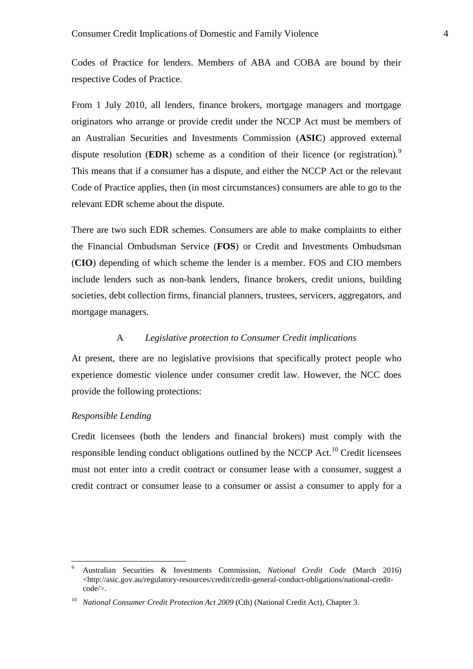Codes of Practice for lenders. Members of ABA and COBA are bound by their respective Codes of Practice.

From 1 July 2010, all lenders, finance brokers, mortgage managers and mortgage originators who arrange or provide credit under the NCCP Act must be members of an Australian Securities and Investments Commission (**ASIC**) approved external dispute resolution (**EDR**) scheme as a condition of their licence (or registration).<sup>9</sup> This means that if a consumer has a dispute, and either the NCCP Act or the relevant Code of Practice applies, then (in most circumstances) consumers are able to go to the relevant EDR scheme about the dispute.

There are two such EDR schemes. Consumers are able to make complaints to either the Financial Ombudsman Service (**FOS**) or Credit and Investments Ombudsman (**CIO**) depending of which scheme the lender is a member. FOS and CIO members include lenders such as non-bank lenders, finance brokers, credit unions, building societies, debt collection firms, financial planners, trustees, servicers, aggregators, and mortgage managers.

## A *Legislative protection to Consumer Credit implications*

At present, there are no legislative provisions that specifically protect people who experience domestic violence under consumer credit law. However, the NCC does provide the following protections:

#### *Responsible Lending*

 $\overline{a}$ 

Credit licensees (both the lenders and financial brokers) must comply with the responsible lending conduct obligations outlined by the NCCP Act.<sup>10</sup> Credit licensees must not enter into a credit contract or consumer lease with a consumer, suggest a credit contract or consumer lease to a consumer or assist a consumer to apply for a

<sup>9</sup> Australian Securities & Investments Commission, *National Credit Code* (March 2016)  $\langle$ http://asic.gov.au/regulatory-resources/credit/credit-general-conduct-obligations/national-creditcode/>.

<sup>&</sup>lt;sup>10</sup> *National Consumer Credit Protection Act 2009* (Cth) (National Credit Act), Chapter 3.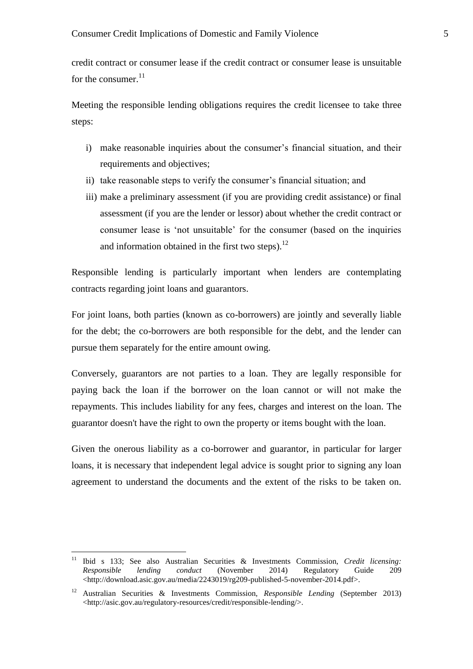credit contract or consumer lease if the credit contract or consumer lease is unsuitable for the consumer. $^{11}$ 

Meeting the responsible lending obligations requires the credit licensee to take three steps:

- i) make reasonable inquiries about the consumer's financial situation, and their requirements and objectives;
- ii) take reasonable steps to verify the consumer's financial situation; and
- iii) make a preliminary assessment (if you are providing credit assistance) or final assessment (if you are the lender or lessor) about whether the credit contract or consumer lease is 'not unsuitable' for the consumer (based on the inquiries and information obtained in the first two steps). $^{12}$

Responsible lending is particularly important when lenders are contemplating contracts regarding joint loans and guarantors.

For joint loans, both parties (known as co-borrowers) are jointly and severally liable for the debt; the co-borrowers are both responsible for the debt, and the lender can pursue them separately for the entire amount owing.

Conversely, guarantors are not parties to a loan. They are legally responsible for paying back the loan if the borrower on the loan cannot or will not make the repayments. This includes liability for any fees, charges and interest on the loan. The guarantor doesn't have the right to own the property or items bought with the loan.

Given the onerous liability as a co-borrower and guarantor, in particular for larger loans, it is necessary that independent legal advice is sought prior to signing any loan agreement to understand the documents and the extent of the risks to be taken on.

 $11$ <sup>11</sup> Ibid s 133; See also Australian Securities & Investments Commission, *Credit licensing: Responsible lending conduct* (November 2014) Regulatory Guide 209 <http://download.asic.gov.au/media/2243019/rg209-published-5-november-2014.pdf>.

<sup>12</sup> Australian Securities & Investments Commission, *Responsible Lending* (September 2013) <http://asic.gov.au/regulatory-resources/credit/responsible-lending/>.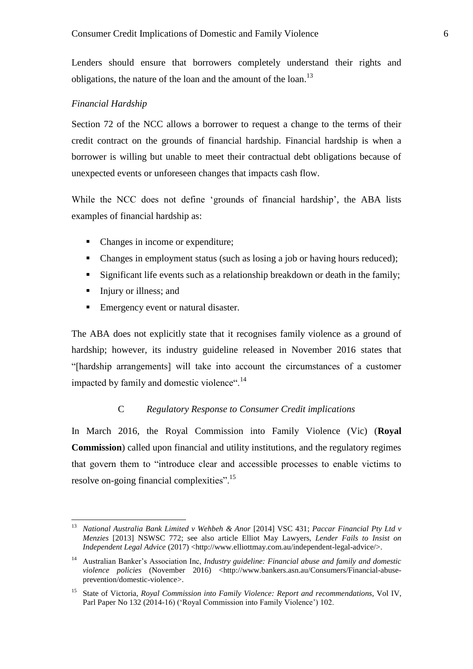Lenders should ensure that borrowers completely understand their rights and obligations, the nature of the loan and the amount of the loan.<sup>13</sup>

#### *Financial Hardship*

Section 72 of the NCC allows a borrower to request a change to the terms of their credit contract on the grounds of financial hardship. Financial hardship is when a borrower is willing but unable to meet their contractual debt obligations because of unexpected events or unforeseen changes that impacts cash flow.

While the NCC does not define 'grounds of financial hardship', the ABA lists examples of financial hardship as:

- Changes in income or expenditure;
- Changes in employment status (such as losing a job or having hours reduced);
- Significant life events such as a relationship breakdown or death in the family;
- Injury or illness; and

 $\overline{a}$ 

Emergency event or natural disaster.

The ABA does not explicitly state that it recognises family violence as a ground of hardship; however, its industry guideline released in November 2016 states that "[hardship arrangements] will take into account the circumstances of a customer impacted by family and domestic violence".<sup>14</sup>

#### C *Regulatory Response to Consumer Credit implications*

In March 2016, the Royal Commission into Family Violence (Vic) (**Royal Commission**) called upon financial and utility institutions, and the regulatory regimes that govern them to "introduce clear and accessible processes to enable victims to resolve on-going financial complexities".<sup>15</sup>

<sup>13</sup> *National Australia Bank Limited v Wehbeh & Anor* [2014] VSC 431; *Paccar Financial Pty Ltd v Menzies* [2013] NSWSC 772; see also article Elliot May Lawyers, *Lender Fails to Insist on Independent Legal Advice* (2017) <http://www.elliottmay.com.au/independent-legal-advice/>.

<sup>&</sup>lt;sup>14</sup> Australian Banker's Association Inc, *Industry guideline: Financial abuse and family and domestic violence policies* (November 2016) <http://www.bankers.asn.au/Consumers/Financial-abuseprevention/domestic-violence>.

<sup>15</sup> State of Victoria, *Royal Commission into Family Violence: Report and recommendations*, Vol IV, Parl Paper No 132 (2014-16) ('Royal Commission into Family Violence') 102.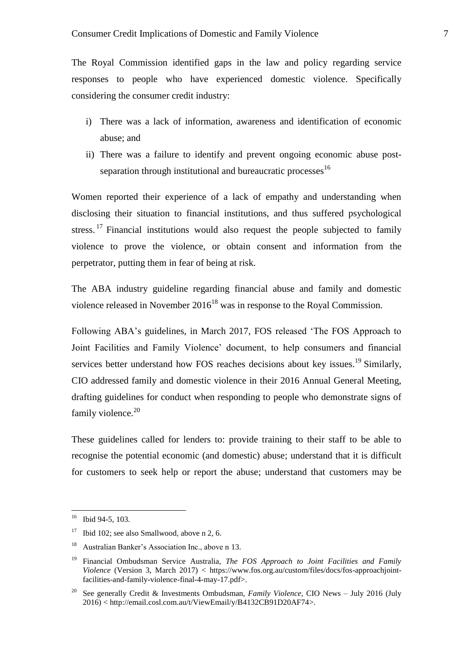The Royal Commission identified gaps in the law and policy regarding service responses to people who have experienced domestic violence. Specifically considering the consumer credit industry:

- i) There was a lack of information, awareness and identification of economic abuse; and
- ii) There was a failure to identify and prevent ongoing economic abuse postseparation through institutional and bureaucratic processes<sup>16</sup>

Women reported their experience of a lack of empathy and understanding when disclosing their situation to financial institutions, and thus suffered psychological stress. <sup>17</sup> Financial institutions would also request the people subjected to family violence to prove the violence, or obtain consent and information from the perpetrator, putting them in fear of being at risk.

The ABA industry guideline regarding financial abuse and family and domestic violence released in November  $2016^{18}$  was in response to the Royal Commission.

Following ABA's guidelines, in March 2017, FOS released 'The FOS Approach to Joint Facilities and Family Violence' document, to help consumers and financial services better understand how FOS reaches decisions about key issues.<sup>19</sup> Similarly, CIO addressed family and domestic violence in their 2016 Annual General Meeting, drafting guidelines for conduct when responding to people who demonstrate signs of family violence. $20$ 

These guidelines called for lenders to: provide training to their staff to be able to recognise the potential economic (and domestic) abuse; understand that it is difficult for customers to seek help or report the abuse; understand that customers may be

 $16\,$ Ibid 94-5, 103.

 $17$  Ibid 102; see also Smallwood, above n 2, 6.

<sup>18</sup> Australian Banker's Association Inc., above n 13.

<sup>19</sup> Financial Ombudsman Service Australia, *The FOS Approach to Joint Facilities and Family Violence* (Version 3, March 2017) < https://www.fos.org.au/custom/files/docs/fos-approachjointfacilities-and-family-violence-final-4-may-17.pdf>.

<sup>&</sup>lt;sup>20</sup> See generally Credit & Investments Ombudsman, *Family Violence*, CIO News – July 2016 (July 2016) < http://email.cosl.com.au/t/ViewEmail/y/B4132CB91D20AF74>.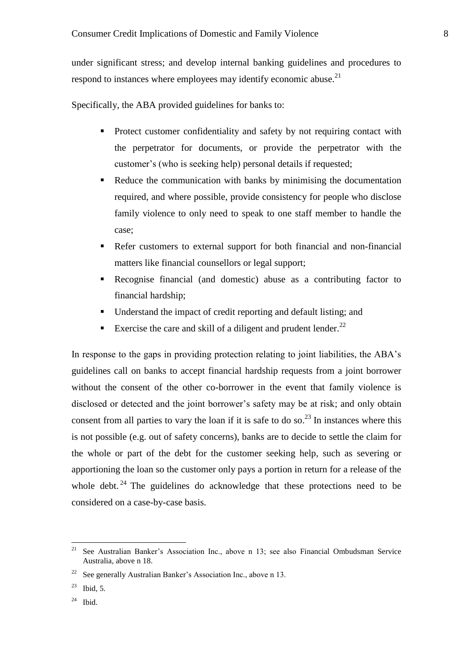under significant stress; and develop internal banking guidelines and procedures to respond to instances where employees may identify economic abuse.<sup>21</sup>

Specifically, the ABA provided guidelines for banks to:

- Protect customer confidentiality and safety by not requiring contact with the perpetrator for documents, or provide the perpetrator with the customer's (who is seeking help) personal details if requested;
- Reduce the communication with banks by minimising the documentation required, and where possible, provide consistency for people who disclose family violence to only need to speak to one staff member to handle the case;
- Refer customers to external support for both financial and non-financial matters like financial counsellors or legal support;
- Recognise financial (and domestic) abuse as a contributing factor to financial hardship;
- Understand the impact of credit reporting and default listing; and
- Exercise the care and skill of a diligent and prudent lender.<sup>22</sup>

In response to the gaps in providing protection relating to joint liabilities, the ABA's guidelines call on banks to accept financial hardship requests from a joint borrower without the consent of the other co-borrower in the event that family violence is disclosed or detected and the joint borrower's safety may be at risk; and only obtain consent from all parties to vary the loan if it is safe to do so.<sup>23</sup> In instances where this is not possible (e.g. out of safety concerns), banks are to decide to settle the claim for the whole or part of the debt for the customer seeking help, such as severing or apportioning the loan so the customer only pays a portion in return for a release of the whole debt. <sup>24</sup> The guidelines do acknowledge that these protections need to be considered on a case-by-case basis.

 $24$  Ibid.

<sup>21</sup> See Australian Banker's Association Inc., above n 13; see also Financial Ombudsman Service Australia, above n 18.

<sup>&</sup>lt;sup>22</sup> See generally Australian Banker's Association Inc., above n 13.

 $23$  Ibid, 5.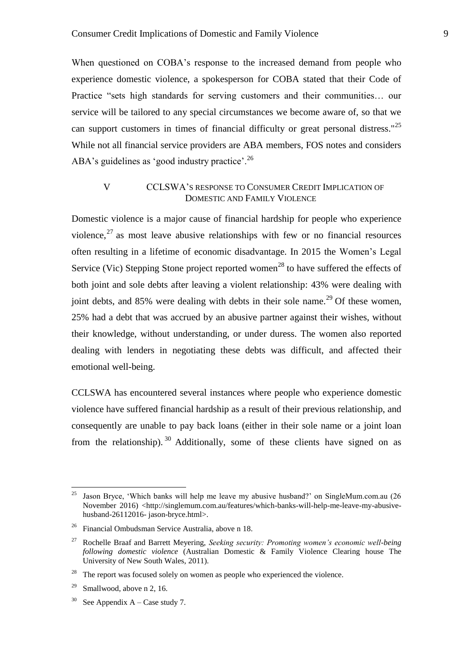When questioned on COBA's response to the increased demand from people who experience domestic violence, a spokesperson for COBA stated that their Code of Practice "sets high standards for serving customers and their communities… our service will be tailored to any special circumstances we become aware of, so that we can support customers in times of financial difficulty or great personal distress."<sup>25</sup> While not all financial service providers are ABA members, FOS notes and considers ABA's guidelines as 'good industry practice'.<sup>26</sup>

## V CCLSWA'S RESPONSE TO CONSUMER CREDIT IMPLICATION OF DOMESTIC AND FAMILY VIOLENCE

Domestic violence is a major cause of financial hardship for people who experience violence,  $27$  as most leave abusive relationships with few or no financial resources often resulting in a lifetime of economic disadvantage. In 2015 the Women's Legal Service (Vic) Stepping Stone project reported women<sup>28</sup> to have suffered the effects of both joint and sole debts after leaving a violent relationship: 43% were dealing with joint debts, and  $85\%$  were dealing with debts in their sole name.<sup>29</sup> Of these women, 25% had a debt that was accrued by an abusive partner against their wishes, without their knowledge, without understanding, or under duress. The women also reported dealing with lenders in negotiating these debts was difficult, and affected their emotional well-being.

CCLSWA has encountered several instances where people who experience domestic violence have suffered financial hardship as a result of their previous relationship, and consequently are unable to pay back loans (either in their sole name or a joint loan from the relationship).  $30$  Additionally, some of these clients have signed on as

 $25\,$ <sup>25</sup> Jason Bryce, 'Which banks will help me leave my abusive husband?' on SingleMum.com.au (26 November 2016) <http://singlemum.com.au/features/which-banks-will-help-me-leave-my-abusivehusband-26112016- jason-bryce.html>.

<sup>26</sup> Financial Ombudsman Service Australia, above n 18.

<sup>27</sup> Rochelle Braaf and Barrett Meyering, *Seeking security: Promoting women's economic well-being following domestic violence* (Australian Domestic & Family Violence Clearing house The University of New South Wales, 2011).

 $28$  The report was focused solely on women as people who experienced the violence.

<sup>&</sup>lt;sup>29</sup> Smallwood, above n 2, 16.

<sup>&</sup>lt;sup>30</sup> See Appendix A – Case study 7.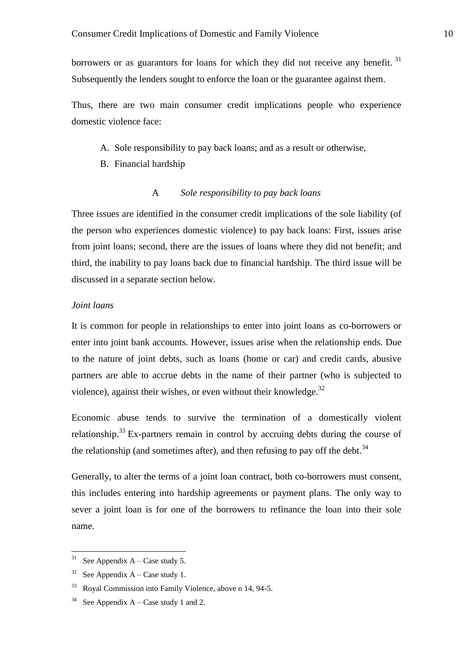borrowers or as guarantors for loans for which they did not receive any benefit.  $31$ Subsequently the lenders sought to enforce the loan or the guarantee against them.

Thus, there are two main consumer credit implications people who experience domestic violence face:

- A. Sole responsibility to pay back loans; and as a result or otherwise,
- B. Financial hardship

#### A *Sole responsibility to pay back loans*

Three issues are identified in the consumer credit implications of the sole liability (of the person who experiences domestic violence) to pay back loans: First, issues arise from joint loans; second, there are the issues of loans where they did not benefit; and third, the inability to pay loans back due to financial hardship. The third issue will be discussed in a separate section below.

#### *Joint loans*

It is common for people in relationships to enter into joint loans as co-borrowers or enter into joint bank accounts. However, issues arise when the relationship ends. Due to the nature of joint debts, such as loans (home or car) and credit cards, abusive partners are able to accrue debts in the name of their partner (who is subjected to violence), against their wishes, or even without their knowledge. $32$ 

Economic abuse tends to survive the termination of a domestically violent relationship.<sup>33</sup> Ex-partners remain in control by accruing debts during the course of the relationship (and sometimes after), and then refusing to pay off the debt.<sup>34</sup>

Generally, to alter the terms of a joint loan contract, both co-borrowers must consent, this includes entering into hardship agreements or payment plans. The only way to sever a joint loan is for one of the borrowers to refinance the loan into their sole name.

 $\overline{a}$ 

<sup>&</sup>lt;sup>31</sup> See Appendix A – Case study 5.

<sup>&</sup>lt;sup>32</sup> See Appendix  $A - Case$  study 1.

<sup>33</sup> Royal Commission into Family Violence, above n 14, 94-5.

<sup>&</sup>lt;sup>34</sup> See Appendix  $A - Case$  study 1 and 2.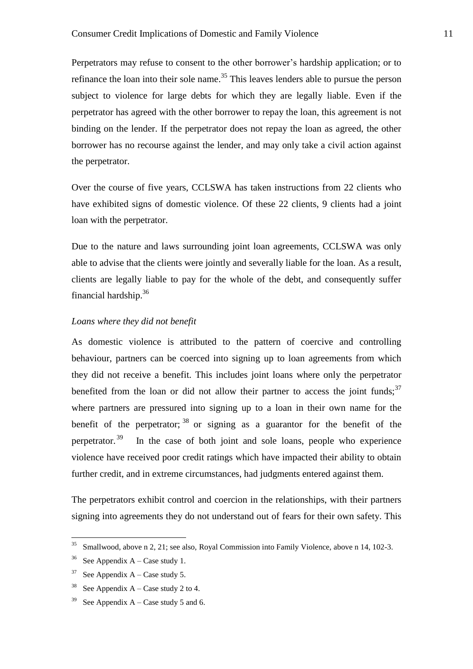Perpetrators may refuse to consent to the other borrower's hardship application; or to refinance the loan into their sole name.<sup>35</sup> This leaves lenders able to pursue the person subject to violence for large debts for which they are legally liable. Even if the perpetrator has agreed with the other borrower to repay the loan, this agreement is not binding on the lender. If the perpetrator does not repay the loan as agreed, the other borrower has no recourse against the lender, and may only take a civil action against the perpetrator.

Over the course of five years, CCLSWA has taken instructions from 22 clients who have exhibited signs of domestic violence. Of these 22 clients, 9 clients had a joint loan with the perpetrator.

Due to the nature and laws surrounding joint loan agreements, CCLSWA was only able to advise that the clients were jointly and severally liable for the loan. As a result, clients are legally liable to pay for the whole of the debt, and consequently suffer financial hardship.<sup>36</sup>

#### *Loans where they did not benefit*

As domestic violence is attributed to the pattern of coercive and controlling behaviour, partners can be coerced into signing up to loan agreements from which they did not receive a benefit. This includes joint loans where only the perpetrator benefited from the loan or did not allow their partner to access the joint funds;  $37$ where partners are pressured into signing up to a loan in their own name for the benefit of the perpetrator;  $38$  or signing as a guarantor for the benefit of the perpetrator. <sup>39</sup> In the case of both joint and sole loans, people who experience violence have received poor credit ratings which have impacted their ability to obtain further credit, and in extreme circumstances, had judgments entered against them.

The perpetrators exhibit control and coercion in the relationships, with their partners signing into agreements they do not understand out of fears for their own safety. This

<sup>35</sup> <sup>35</sup> Smallwood, above n 2, 21; see also, Royal Commission into Family Violence, above n 14, 102-3.

<sup>&</sup>lt;sup>36</sup> See Appendix A – Case study 1.

 $37$  See Appendix A – Case study 5.

<sup>&</sup>lt;sup>38</sup> See Appendix A – Case study 2 to 4.

<sup>&</sup>lt;sup>39</sup> See Appendix A – Case study 5 and 6.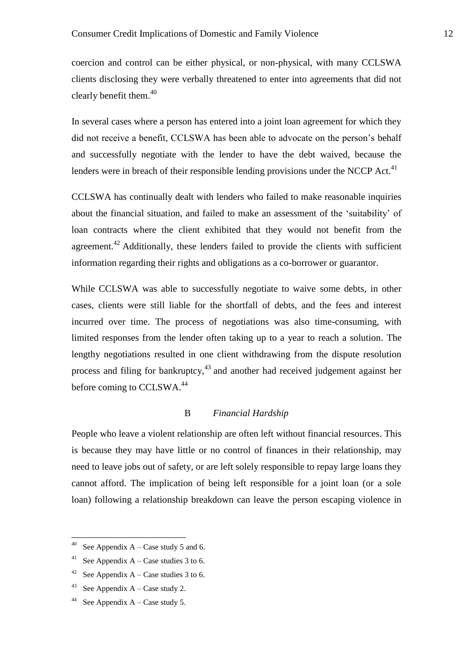coercion and control can be either physical, or non-physical, with many CCLSWA clients disclosing they were verbally threatened to enter into agreements that did not clearly benefit them. $40$ 

In several cases where a person has entered into a joint loan agreement for which they did not receive a benefit, CCLSWA has been able to advocate on the person's behalf and successfully negotiate with the lender to have the debt waived, because the lenders were in breach of their responsible lending provisions under the NCCP Act. $41$ 

CCLSWA has continually dealt with lenders who failed to make reasonable inquiries about the financial situation, and failed to make an assessment of the 'suitability' of loan contracts where the client exhibited that they would not benefit from the agreement.<sup>42</sup> Additionally, these lenders failed to provide the clients with sufficient information regarding their rights and obligations as a co-borrower or guarantor.

While CCLSWA was able to successfully negotiate to waive some debts, in other cases, clients were still liable for the shortfall of debts, and the fees and interest incurred over time. The process of negotiations was also time-consuming, with limited responses from the lender often taking up to a year to reach a solution. The lengthy negotiations resulted in one client withdrawing from the dispute resolution process and filing for bankruptcy,<sup>43</sup> and another had received judgement against her before coming to CCLSWA.<sup>44</sup>

### B *Financial Hardship*

People who leave a violent relationship are often left without financial resources. This is because they may have little or no control of finances in their relationship, may need to leave jobs out of safety, or are left solely responsible to repay large loans they cannot afford. The implication of being left responsible for a joint loan (or a sole loan) following a relationship breakdown can leave the person escaping violence in

 $40\,$ See Appendix  $A - Case$  study 5 and 6.

<sup>&</sup>lt;sup>41</sup> See Appendix A – Case studies 3 to 6.

<sup>&</sup>lt;sup>42</sup> See Appendix A – Case studies 3 to 6.

<sup>&</sup>lt;sup>43</sup> See Appendix  $A - Case$  study 2.

<sup>&</sup>lt;sup>44</sup> See Appendix  $A - Case$  study 5.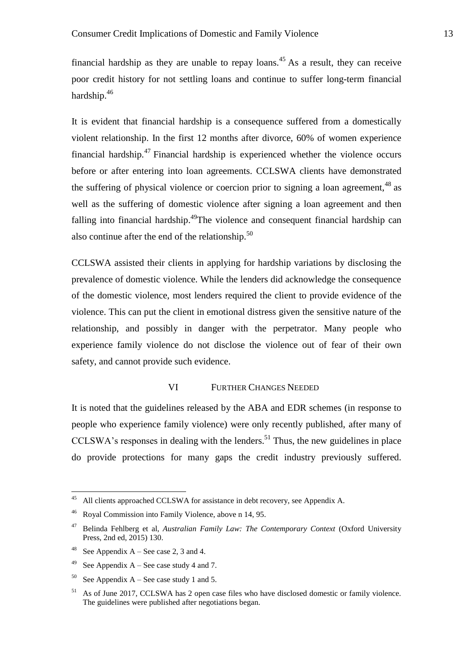financial hardship as they are unable to repay loans.<sup>45</sup> As a result, they can receive poor credit history for not settling loans and continue to suffer long-term financial hardship.<sup>46</sup>

It is evident that financial hardship is a consequence suffered from a domestically violent relationship. In the first 12 months after divorce, 60% of women experience financial hardship.<sup>47</sup> Financial hardship is experienced whether the violence occurs before or after entering into loan agreements. CCLSWA clients have demonstrated the suffering of physical violence or coercion prior to signing a loan agreement,  $48$  as well as the suffering of domestic violence after signing a loan agreement and then falling into financial hardship.<sup>49</sup>The violence and consequent financial hardship can also continue after the end of the relationship.<sup>50</sup>

CCLSWA assisted their clients in applying for hardship variations by disclosing the prevalence of domestic violence. While the lenders did acknowledge the consequence of the domestic violence, most lenders required the client to provide evidence of the violence. This can put the client in emotional distress given the sensitive nature of the relationship, and possibly in danger with the perpetrator. Many people who experience family violence do not disclose the violence out of fear of their own safety, and cannot provide such evidence.

#### VI FURTHER CHANGES NEEDED

It is noted that the guidelines released by the ABA and EDR schemes (in response to people who experience family violence) were only recently published, after many of CCLSWA's responses in dealing with the lenders. <sup>51</sup> Thus, the new guidelines in place do provide protections for many gaps the credit industry previously suffered.

 $45\,$ All clients approached CCLSWA for assistance in debt recovery, see Appendix A.

<sup>46</sup> Royal Commission into Family Violence, above n 14, 95.

<sup>47</sup> Belinda Fehlberg et al, *Australian Family Law: The Contemporary Context* (Oxford University Press, 2nd ed, 2015) 130.

<sup>48</sup> See Appendix A – See case 2, 3 and 4.

<sup>&</sup>lt;sup>49</sup> See Appendix A – See case study 4 and 7.

<sup>&</sup>lt;sup>50</sup> See Appendix A – See case study 1 and 5.

<sup>&</sup>lt;sup>51</sup> As of June 2017, CCLSWA has 2 open case files who have disclosed domestic or family violence. The guidelines were published after negotiations began.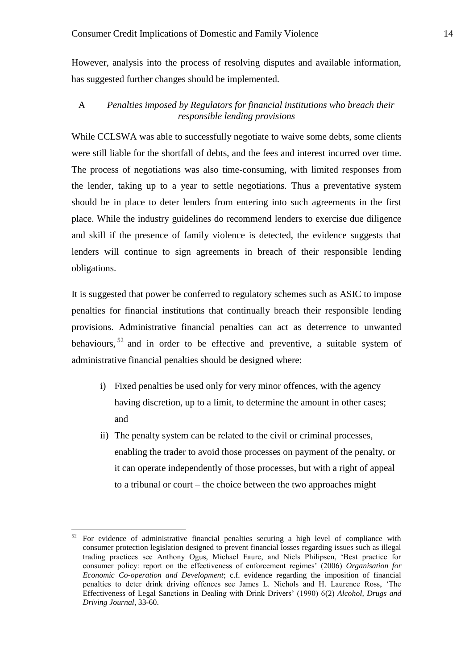However, analysis into the process of resolving disputes and available information, has suggested further changes should be implemented.

### A *Penalties imposed by Regulators for financial institutions who breach their responsible lending provisions*

While CCLSWA was able to successfully negotiate to waive some debts, some clients were still liable for the shortfall of debts, and the fees and interest incurred over time. The process of negotiations was also time-consuming, with limited responses from the lender, taking up to a year to settle negotiations. Thus a preventative system should be in place to deter lenders from entering into such agreements in the first place. While the industry guidelines do recommend lenders to exercise due diligence and skill if the presence of family violence is detected, the evidence suggests that lenders will continue to sign agreements in breach of their responsible lending obligations.

It is suggested that power be conferred to regulatory schemes such as ASIC to impose penalties for financial institutions that continually breach their responsible lending provisions. Administrative financial penalties can act as deterrence to unwanted behaviours,  $52$  and in order to be effective and preventive, a suitable system of administrative financial penalties should be designed where:

- i) Fixed penalties be used only for very minor offences, with the agency having discretion, up to a limit, to determine the amount in other cases; and
- ii) The penalty system can be related to the civil or criminal processes, enabling the trader to avoid those processes on payment of the penalty, or it can operate independently of those processes, but with a right of appeal to a tribunal or court – the choice between the two approaches might

 $\overline{a}$ 

<sup>52</sup> For evidence of administrative financial penalties securing a high level of compliance with consumer protection legislation designed to prevent financial losses regarding issues such as illegal trading practices see Anthony Ogus, Michael Faure, and Niels Philipsen, 'Best practice for consumer policy: report on the effectiveness of enforcement regimes' (2006) *Organisation for Economic Co-operation and Development*; c.f. evidence regarding the imposition of financial penalties to deter drink driving offences see James L. Nichols and H. Laurence Ross, 'The Effectiveness of Legal Sanctions in Dealing with Drink Drivers' (1990) 6(2) *Alcohol, Drugs and Driving Journal*, 33-60.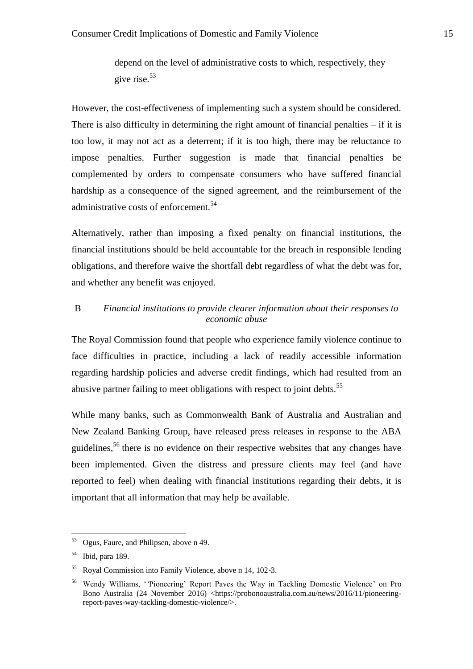depend on the level of administrative costs to which, respectively, they give rise.<sup>53</sup>

However, the cost-effectiveness of implementing such a system should be considered. There is also difficulty in determining the right amount of financial penalties  $-$  if it is too low, it may not act as a deterrent; if it is too high, there may be reluctance to impose penalties. Further suggestion is made that financial penalties be complemented by orders to compensate consumers who have suffered financial hardship as a consequence of the signed agreement, and the reimbursement of the administrative costs of enforcement.<sup>54</sup>

Alternatively, rather than imposing a fixed penalty on financial institutions, the financial institutions should be held accountable for the breach in responsible lending obligations, and therefore waive the shortfall debt regardless of what the debt was for, and whether any benefit was enjoyed.

## B *Financial institutions to provide clearer information about their responses to economic abuse*

The Royal Commission found that people who experience family violence continue to face difficulties in practice, including a lack of readily accessible information regarding hardship policies and adverse credit findings, which had resulted from an abusive partner failing to meet obligations with respect to joint debts.<sup>55</sup>

While many banks, such as Commonwealth Bank of Australia and Australian and New Zealand Banking Group, have released press releases in response to the ABA guidelines,<sup>56</sup> there is no evidence on their respective websites that any changes have been implemented. Given the distress and pressure clients may feel (and have reported to feel) when dealing with financial institutions regarding their debts, it is important that all information that may help be available.

<sup>53</sup> Ogus, Faure, and Philipsen, above n 49.

<sup>54</sup> Ibid, para 189.

<sup>55</sup> Royal Commission into Family Violence, above n 14, 102-3.

<sup>56</sup> Wendy Williams, '*'*Pioneering' Report Paves the Way in Tackling Domestic Violence' on Pro Bono Australia (24 November 2016) <https://probonoaustralia.com.au/news/2016/11/pioneeringreport-paves-way-tackling-domestic-violence/>.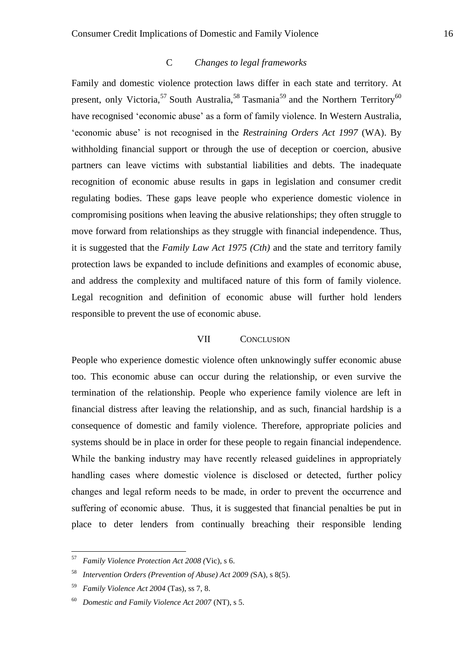### C *Changes to legal frameworks*

Family and domestic violence protection laws differ in each state and territory. At present, only Victoria,<sup>57</sup> South Australia,<sup>58</sup> Tasmania<sup>59</sup> and the Northern Territory<sup>60</sup> have recognised 'economic abuse' as a form of family violence. In Western Australia, 'economic abuse' is not recognised in the *Restraining Orders Act 1997* (WA). By withholding financial support or through the use of deception or coercion, abusive partners can leave victims with substantial liabilities and debts. The inadequate recognition of economic abuse results in gaps in legislation and consumer credit regulating bodies. These gaps leave people who experience domestic violence in compromising positions when leaving the abusive relationships; they often struggle to move forward from relationships as they struggle with financial independence. Thus, it is suggested that the *Family Law Act 1975 (Cth)* and the state and territory family protection laws be expanded to include definitions and examples of economic abuse, and address the complexity and multifaced nature of this form of family violence. Legal recognition and definition of economic abuse will further hold lenders responsible to prevent the use of economic abuse.

#### VII CONCLUSION

People who experience domestic violence often unknowingly suffer economic abuse too. This economic abuse can occur during the relationship, or even survive the termination of the relationship. People who experience family violence are left in financial distress after leaving the relationship, and as such, financial hardship is a consequence of domestic and family violence. Therefore, appropriate policies and systems should be in place in order for these people to regain financial independence. While the banking industry may have recently released guidelines in appropriately handling cases where domestic violence is disclosed or detected, further policy changes and legal reform needs to be made, in order to prevent the occurrence and suffering of economic abuse. Thus, it is suggested that financial penalties be put in place to deter lenders from continually breaching their responsible lending

 $\overline{a}$ 

<sup>57</sup> *Family Violence Protection Act 2008 (*Vic), s 6.

<sup>58</sup> *Intervention Orders (Prevention of Abuse) Act 2009 (*SA), s 8(5).

<sup>59</sup> *Family Violence Act 2004* (Tas), ss 7, 8.

<sup>60</sup> *Domestic and Family Violence Act 2007* (NT), s 5.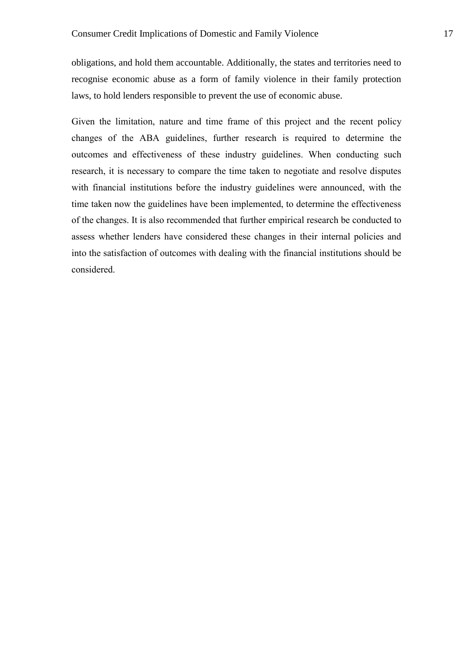obligations, and hold them accountable. Additionally, the states and territories need to recognise economic abuse as a form of family violence in their family protection laws, to hold lenders responsible to prevent the use of economic abuse.

Given the limitation, nature and time frame of this project and the recent policy changes of the ABA guidelines, further research is required to determine the outcomes and effectiveness of these industry guidelines. When conducting such research, it is necessary to compare the time taken to negotiate and resolve disputes with financial institutions before the industry guidelines were announced, with the time taken now the guidelines have been implemented, to determine the effectiveness of the changes. It is also recommended that further empirical research be conducted to assess whether lenders have considered these changes in their internal policies and into the satisfaction of outcomes with dealing with the financial institutions should be considered.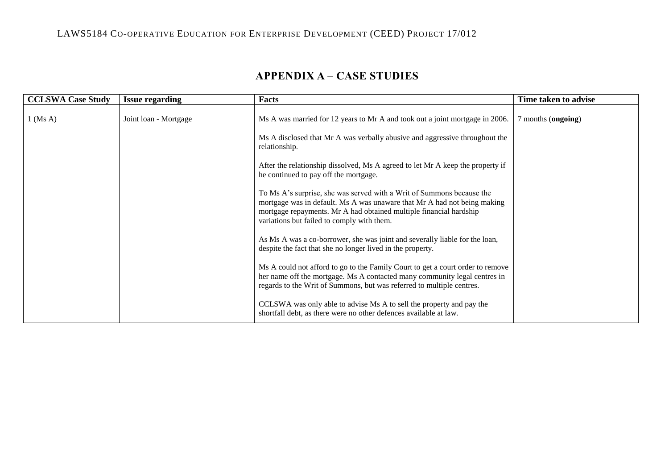# LAWS5184 CO-OPERATIVE EDUCATION FOR ENTERPRISE DEVELOPMENT (CEED) PROJECT 17/012

| <b>APPENDIX A – CASE STUDIES</b> |  |
|----------------------------------|--|
|----------------------------------|--|

| <b>CCLSWA Case Study</b> | <b>Issue regarding</b> | Facts                                                                                                                                                                                                                                                                 | Time taken to advise |
|--------------------------|------------------------|-----------------------------------------------------------------------------------------------------------------------------------------------------------------------------------------------------------------------------------------------------------------------|----------------------|
| $1$ (Ms A)               | Joint loan - Mortgage  | Ms A was married for 12 years to Mr A and took out a joint mortgage in 2006.                                                                                                                                                                                          | months (ongoing)     |
|                          |                        | Ms A disclosed that Mr A was verbally abusive and aggressive throughout the<br>relationship.                                                                                                                                                                          |                      |
|                          |                        | After the relationship dissolved, Ms A agreed to let Mr A keep the property if<br>he continued to pay off the mortgage.                                                                                                                                               |                      |
|                          |                        | To Ms A's surprise, she was served with a Writ of Summons because the<br>mortgage was in default. Ms A was unaware that Mr A had not being making<br>mortgage repayments. Mr A had obtained multiple financial hardship<br>variations but failed to comply with them. |                      |
|                          |                        | As Ms A was a co-borrower, she was joint and severally liable for the loan,<br>despite the fact that she no longer lived in the property.                                                                                                                             |                      |
|                          |                        | Ms A could not afford to go to the Family Court to get a court order to remove<br>her name off the mortgage. Ms A contacted many community legal centres in<br>regards to the Writ of Summons, but was referred to multiple centres.                                  |                      |
|                          |                        | CCLSWA was only able to advise Ms A to sell the property and pay the<br>shortfall debt, as there were no other defences available at law.                                                                                                                             |                      |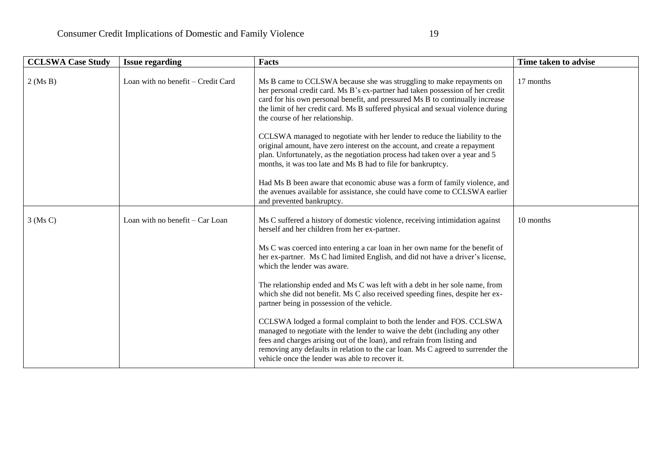| <b>CCLSWA Case Study</b> | <b>Issue regarding</b>             | <b>Facts</b>                                                                                                                                                                                                                                                                                                                                                        | Time taken to advise |
|--------------------------|------------------------------------|---------------------------------------------------------------------------------------------------------------------------------------------------------------------------------------------------------------------------------------------------------------------------------------------------------------------------------------------------------------------|----------------------|
| $2$ (Ms B)               | Loan with no benefit – Credit Card | Ms B came to CCLSWA because she was struggling to make repayments on<br>her personal credit card. Ms B's ex-partner had taken possession of her credit<br>card for his own personal benefit, and pressured Ms B to continually increase<br>the limit of her credit card. Ms B suffered physical and sexual violence during<br>the course of her relationship.       | 17 months            |
|                          |                                    | CCLSWA managed to negotiate with her lender to reduce the liability to the<br>original amount, have zero interest on the account, and create a repayment<br>plan. Unfortunately, as the negotiation process had taken over a year and 5<br>months, it was too late and Ms B had to file for bankruptcy.                                                             |                      |
|                          |                                    | Had Ms B been aware that economic abuse was a form of family violence, and<br>the avenues available for assistance, she could have come to CCLSWA earlier<br>and prevented bankruptcy.                                                                                                                                                                              |                      |
| $3$ (Ms C)               | Loan with no benefit – Car Loan    | Ms C suffered a history of domestic violence, receiving intimidation against<br>herself and her children from her ex-partner.                                                                                                                                                                                                                                       | 10 months            |
|                          |                                    | Ms C was coerced into entering a car loan in her own name for the benefit of<br>her ex-partner. Ms C had limited English, and did not have a driver's license,<br>which the lender was aware.                                                                                                                                                                       |                      |
|                          |                                    | The relationship ended and Ms C was left with a debt in her sole name, from<br>which she did not benefit. Ms C also received speeding fines, despite her ex-<br>partner being in possession of the vehicle.                                                                                                                                                         |                      |
|                          |                                    | CCLSWA lodged a formal complaint to both the lender and FOS. CCLSWA<br>managed to negotiate with the lender to waive the debt (including any other<br>fees and charges arising out of the loan), and refrain from listing and<br>removing any defaults in relation to the car loan. Ms C agreed to surrender the<br>vehicle once the lender was able to recover it. |                      |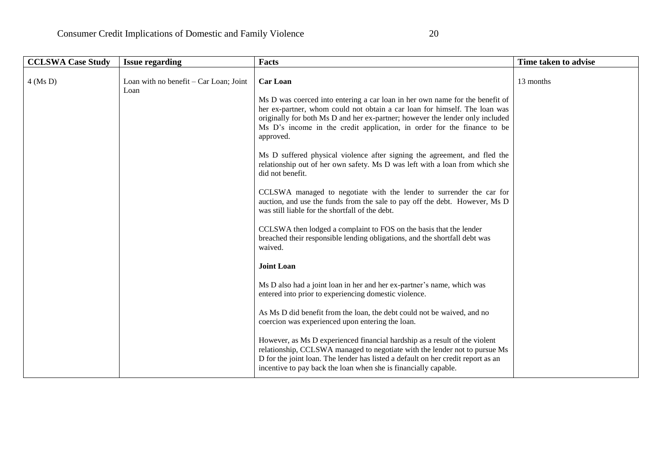| <b>CCLSWA Case Study</b> | <b>Issue regarding</b>                         | <b>Facts</b>                                                                                                                                                                                                                                                                                                    | Time taken to advise |
|--------------------------|------------------------------------------------|-----------------------------------------------------------------------------------------------------------------------------------------------------------------------------------------------------------------------------------------------------------------------------------------------------------------|----------------------|
| $4$ (Ms D)               | Loan with no benefit – Car Loan; Joint<br>Loan | <b>Car Loan</b><br>Ms D was coerced into entering a car loan in her own name for the benefit of<br>her ex-partner, whom could not obtain a car loan for himself. The loan was                                                                                                                                   | 13 months            |
|                          |                                                | originally for both Ms D and her ex-partner; however the lender only included<br>Ms D's income in the credit application, in order for the finance to be<br>approved.                                                                                                                                           |                      |
|                          |                                                | Ms D suffered physical violence after signing the agreement, and fled the<br>relationship out of her own safety. Ms D was left with a loan from which she<br>did not benefit.                                                                                                                                   |                      |
|                          |                                                | CCLSWA managed to negotiate with the lender to surrender the car for<br>auction, and use the funds from the sale to pay off the debt. However, Ms D<br>was still liable for the shortfall of the debt.                                                                                                          |                      |
|                          |                                                | CCLSWA then lodged a complaint to FOS on the basis that the lender<br>breached their responsible lending obligations, and the shortfall debt was<br>waived.                                                                                                                                                     |                      |
|                          |                                                | <b>Joint Loan</b>                                                                                                                                                                                                                                                                                               |                      |
|                          |                                                | Ms D also had a joint loan in her and her ex-partner's name, which was<br>entered into prior to experiencing domestic violence.                                                                                                                                                                                 |                      |
|                          |                                                | As Ms D did benefit from the loan, the debt could not be waived, and no<br>coercion was experienced upon entering the loan.                                                                                                                                                                                     |                      |
|                          |                                                | However, as Ms D experienced financial hardship as a result of the violent<br>relationship, CCLSWA managed to negotiate with the lender not to pursue Ms<br>D for the joint loan. The lender has listed a default on her credit report as an<br>incentive to pay back the loan when she is financially capable. |                      |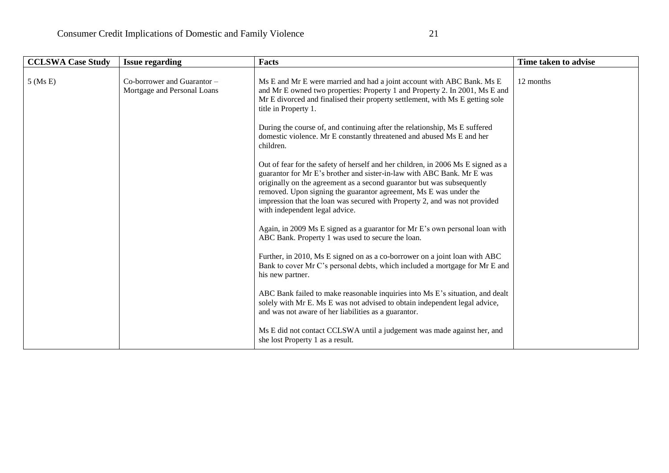| <b>CCLSWA Case Study</b> | <b>Issue regarding</b>                                     | <b>Facts</b>                                                                                                                                                                                                                                                                                                                                                                                                              | Time taken to advise |
|--------------------------|------------------------------------------------------------|---------------------------------------------------------------------------------------------------------------------------------------------------------------------------------------------------------------------------------------------------------------------------------------------------------------------------------------------------------------------------------------------------------------------------|----------------------|
| $5$ (Ms E)               | Co-borrower and Guarantor -<br>Mortgage and Personal Loans | Ms E and Mr E were married and had a joint account with ABC Bank. Ms E<br>and Mr E owned two properties: Property 1 and Property 2. In 2001, Ms E and<br>Mr E divorced and finalised their property settlement, with Ms E getting sole<br>title in Property 1.                                                                                                                                                            | 12 months            |
|                          |                                                            | During the course of, and continuing after the relationship, Ms E suffered<br>domestic violence. Mr E constantly threatened and abused Ms E and her<br>children.                                                                                                                                                                                                                                                          |                      |
|                          |                                                            | Out of fear for the safety of herself and her children, in 2006 Ms E signed as a<br>guarantor for Mr E's brother and sister-in-law with ABC Bank. Mr E was<br>originally on the agreement as a second guarantor but was subsequently<br>removed. Upon signing the guarantor agreement, Ms E was under the<br>impression that the loan was secured with Property 2, and was not provided<br>with independent legal advice. |                      |
|                          |                                                            | Again, in 2009 Ms E signed as a guarantor for Mr E's own personal loan with<br>ABC Bank. Property 1 was used to secure the loan.                                                                                                                                                                                                                                                                                          |                      |
|                          |                                                            | Further, in 2010, Ms E signed on as a co-borrower on a joint loan with ABC<br>Bank to cover Mr C's personal debts, which included a mortgage for Mr E and<br>his new partner.                                                                                                                                                                                                                                             |                      |
|                          |                                                            | ABC Bank failed to make reasonable inquiries into Ms E's situation, and dealt<br>solely with Mr E. Ms E was not advised to obtain independent legal advice,<br>and was not aware of her liabilities as a guarantor.                                                                                                                                                                                                       |                      |
|                          |                                                            | Ms E did not contact CCLSWA until a judgement was made against her, and<br>she lost Property 1 as a result.                                                                                                                                                                                                                                                                                                               |                      |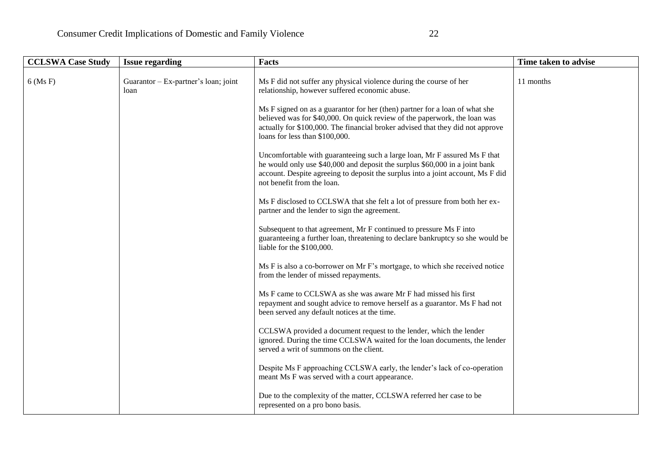| <b>CCLSWA Case Study</b> | <b>Issue regarding</b>                       | Facts                                                                                                                                                                                                                                                                        | Time taken to advise |
|--------------------------|----------------------------------------------|------------------------------------------------------------------------------------------------------------------------------------------------------------------------------------------------------------------------------------------------------------------------------|----------------------|
| $6$ (Ms F)               | Guarantor – Ex-partner's loan; joint<br>loan | Ms F did not suffer any physical violence during the course of her<br>relationship, however suffered economic abuse.                                                                                                                                                         | 11 months            |
|                          |                                              | Ms F signed on as a guarantor for her (then) partner for a loan of what she<br>believed was for \$40,000. On quick review of the paperwork, the loan was<br>actually for \$100,000. The financial broker advised that they did not approve<br>loans for less than \$100,000. |                      |
|                          |                                              | Uncomfortable with guaranteeing such a large loan, Mr F assured Ms F that<br>he would only use \$40,000 and deposit the surplus \$60,000 in a joint bank<br>account. Despite agreeing to deposit the surplus into a joint account, Ms F did<br>not benefit from the loan.    |                      |
|                          |                                              | Ms F disclosed to CCLSWA that she felt a lot of pressure from both her ex-<br>partner and the lender to sign the agreement.                                                                                                                                                  |                      |
|                          |                                              | Subsequent to that agreement, Mr F continued to pressure Ms F into<br>guaranteeing a further loan, threatening to declare bankruptcy so she would be<br>liable for the \$100,000.                                                                                            |                      |
|                          |                                              | Ms F is also a co-borrower on Mr F's mortgage, to which she received notice<br>from the lender of missed repayments.                                                                                                                                                         |                      |
|                          |                                              | Ms F came to CCLSWA as she was aware Mr F had missed his first<br>repayment and sought advice to remove herself as a guarantor. Ms F had not<br>been served any default notices at the time.                                                                                 |                      |
|                          |                                              | CCLSWA provided a document request to the lender, which the lender<br>ignored. During the time CCLSWA waited for the loan documents, the lender<br>served a writ of summons on the client.                                                                                   |                      |
|                          |                                              | Despite Ms F approaching CCLSWA early, the lender's lack of co-operation<br>meant Ms F was served with a court appearance.                                                                                                                                                   |                      |
|                          |                                              | Due to the complexity of the matter, CCLSWA referred her case to be<br>represented on a pro bono basis.                                                                                                                                                                      |                      |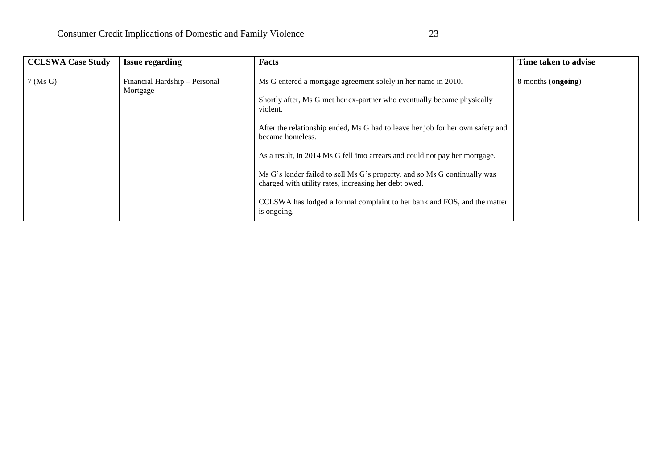| <b>CCLSWA Case Study</b> | <b>Issue regarding</b>                    | Facts                                                                                                                                                                                                                                                                                                                                                                                                                                                                                                                                                       | Time taken to advise |
|--------------------------|-------------------------------------------|-------------------------------------------------------------------------------------------------------------------------------------------------------------------------------------------------------------------------------------------------------------------------------------------------------------------------------------------------------------------------------------------------------------------------------------------------------------------------------------------------------------------------------------------------------------|----------------------|
| $7$ (Ms G)               | Financial Hardship - Personal<br>Mortgage | Ms G entered a mortgage agreement solely in her name in 2010.<br>Shortly after, Ms G met her ex-partner who eventually became physically<br>violent.<br>After the relationship ended, Ms G had to leave her job for her own safety and<br>became homeless.<br>As a result, in 2014 Ms G fell into arrears and could not pay her mortgage.<br>Ms G's lender failed to sell Ms G's property, and so Ms G continually was<br>charged with utility rates, increasing her debt owed.<br>CCLSWA has lodged a formal complaint to her bank and FOS, and the matter | 8 months (ongoing)   |
|                          |                                           | is ongoing.                                                                                                                                                                                                                                                                                                                                                                                                                                                                                                                                                 |                      |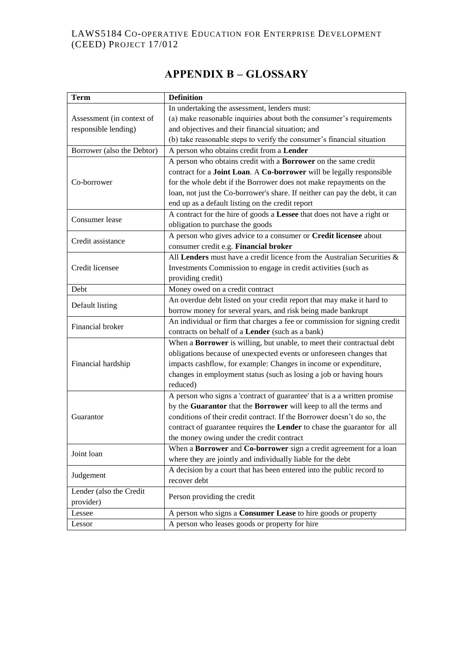# LAWS5184 CO-OPERATIVE EDUCATION FOR ENTERPRISE DEVELOPMENT (CEED) PROJECT 17/012

# **APPENDIX B – GLOSSARY**

| <b>Term</b>                | <b>Definition</b>                                                                |
|----------------------------|----------------------------------------------------------------------------------|
|                            | In undertaking the assessment, lenders must:                                     |
| Assessment (in context of  | (a) make reasonable inquiries about both the consumer's requirements             |
| responsible lending)       | and objectives and their financial situation; and                                |
|                            | (b) take reasonable steps to verify the consumer's financial situation           |
| Borrower (also the Debtor) | A person who obtains credit from a Lender                                        |
|                            | A person who obtains credit with a Borrower on the same credit                   |
|                            | contract for a Joint Loan. A Co-borrower will be legally responsible             |
| Co-borrower                | for the whole debt if the Borrower does not make repayments on the               |
|                            | loan, not just the Co-borrower's share. If neither can pay the debt, it can      |
|                            | end up as a default listing on the credit report                                 |
| Consumer lease             | A contract for the hire of goods a Lessee that does not have a right or          |
|                            | obligation to purchase the goods                                                 |
| Credit assistance          | A person who gives advice to a consumer or Credit licensee about                 |
|                            | consumer credit e.g. Financial broker                                            |
|                            | All Lenders must have a credit licence from the Australian Securities $\&$       |
| Credit licensee            | Investments Commission to engage in credit activities (such as                   |
|                            | providing credit)                                                                |
| Debt                       | Money owed on a credit contract                                                  |
| Default listing            | An overdue debt listed on your credit report that may make it hard to            |
|                            | borrow money for several years, and risk being made bankrupt                     |
| Financial broker           | An individual or firm that charges a fee or commission for signing credit        |
|                            | contracts on behalf of a Lender (such as a bank)                                 |
|                            | When a Borrower is willing, but unable, to meet their contractual debt           |
|                            | obligations because of unexpected events or unforeseen changes that              |
| Financial hardship         | impacts cashflow, for example: Changes in income or expenditure,                 |
|                            | changes in employment status (such as losing a job or having hours               |
|                            | reduced)                                                                         |
|                            | A person who signs a 'contract of guarantee' that is a a written promise         |
|                            | by the Guarantor that the Borrower will keep to all the terms and                |
| Guarantor                  | conditions of their credit contract. If the Borrower doesn't do so, the          |
|                            | contract of guarantee requires the Lender to chase the guarantor for all         |
|                            | the money owing under the credit contract                                        |
| Joint loan                 | When a <b>Borrower</b> and <b>Co-borrower</b> sign a credit agreement for a loan |
|                            | where they are jointly and individually liable for the debt                      |
| Judgement                  | A decision by a court that has been entered into the public record to            |
|                            | recover debt                                                                     |
| Lender (also the Credit    | Person providing the credit                                                      |
| provider)                  |                                                                                  |
| Lessee                     | A person who signs a Consumer Lease to hire goods or property                    |
| Lessor                     | A person who leases goods or property for hire                                   |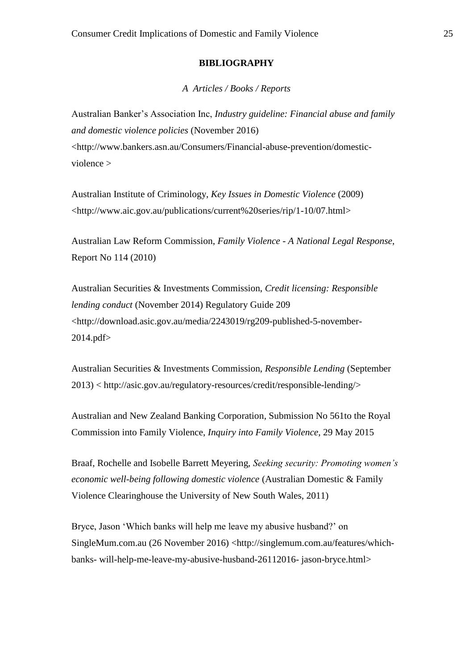#### **BIBLIOGRAPHY**

*A Articles / Books / Reports*

Australian Banker's Association Inc, *Industry guideline: Financial abuse and family and domestic violence policies* (November 2016) <http://www.bankers.asn.au/Consumers/Financial-abuse-prevention/domesticviolence >

Australian Institute of Criminology, *Key Issues in Domestic Violence* (2009) <http://www.aic.gov.au/publications/current%20series/rip/1-10/07.html>

Australian Law Reform Commission, *Family Violence - A National Legal Response*, Report No 114 (2010)

Australian Securities & Investments Commission, *Credit licensing: Responsible lending conduct* (November 2014) Regulatory Guide 209 <http://download.asic.gov.au/media/2243019/rg209-published-5-november-2014.pdf>

Australian Securities & Investments Commission, *Responsible Lending* (September 2013) < http://asic.gov.au/regulatory-resources/credit/responsible-lending/>

Australian and New Zealand Banking Corporation, Submission No 561to the Royal Commission into Family Violence, *Inquiry into Family Violence*, 29 May 2015

Braaf, Rochelle and Isobelle Barrett Meyering, *Seeking security: Promoting women's economic well-being following domestic violence* (Australian Domestic & Family Violence Clearinghouse the University of New South Wales, 2011)

Bryce, Jason 'Which banks will help me leave my abusive husband?' on SingleMum.com.au (26 November 2016) <http://singlemum.com.au/features/whichbanks- will-help-me-leave-my-abusive-husband-26112016- jason-bryce.html>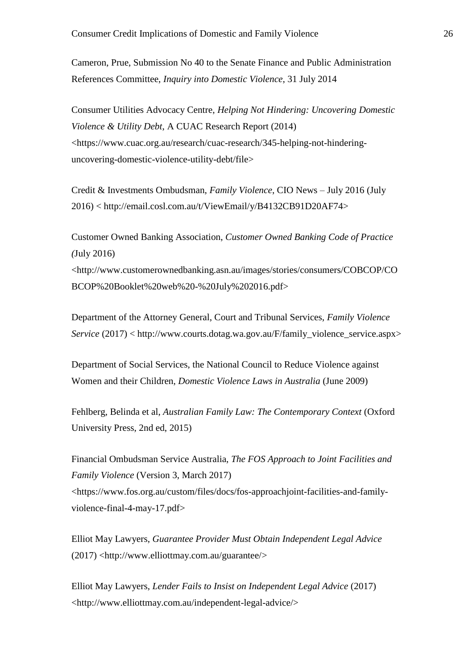Cameron, Prue, Submission No 40 to the Senate Finance and Public Administration References Committee, *Inquiry into Domestic Violence*, 31 July 2014

Consumer Utilities Advocacy Centre, *Helping Not Hindering: Uncovering Domestic Violence & Utility Debt*, A CUAC Research Report (2014) <https://www.cuac.org.au/research/cuac-research/345-helping-not-hinderinguncovering-domestic-violence-utility-debt/file>

Credit & Investments Ombudsman, *Family Violence*, CIO News – July 2016 (July 2016) < http://email.cosl.com.au/t/ViewEmail/y/B4132CB91D20AF74>

Customer Owned Banking Association, *Customer Owned Banking Code of Practice (*July 2016) <http://www.customerownedbanking.asn.au/images/stories/consumers/COBCOP/CO BCOP%20Booklet%20web%20-%20July%202016.pdf>

Department of the Attorney General, Court and Tribunal Services, *Family Violence Service* (2017) < http://www.courts.dotag.wa.gov.au/F/family\_violence\_service.aspx>

Department of Social Services, the National Council to Reduce Violence against Women and their Children, *Domestic Violence Laws in Australia* (June 2009)

Fehlberg, Belinda et al, *Australian Family Law: The Contemporary Context* (Oxford University Press, 2nd ed, 2015)

Financial Ombudsman Service Australia, *The FOS Approach to Joint Facilities and Family Violence* (Version 3, March 2017) <https://www.fos.org.au/custom/files/docs/fos-approachjoint-facilities-and-familyviolence-final-4-may-17.pdf>

Elliot May Lawyers, *Guarantee Provider Must Obtain Independent Legal Advice* (2017) <http://www.elliottmay.com.au/guarantee/>

Elliot May Lawyers, *Lender Fails to Insist on Independent Legal Advice* (2017) <http://www.elliottmay.com.au/independent-legal-advice/>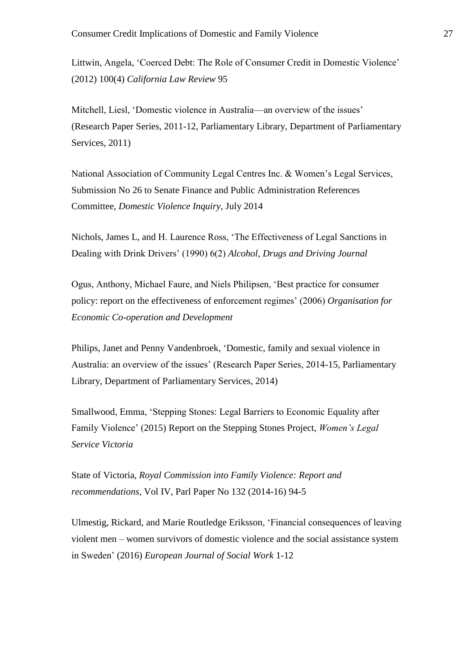Littwin, Angela, 'Coerced Debt: The Role of Consumer Credit in Domestic Violence' (2012) 100(4) *California Law Review* 95

Mitchell, Liesl, 'Domestic violence in Australia—an overview of the issues' (Research Paper Series, 2011-12, Parliamentary Library, Department of Parliamentary Services, 2011)

National Association of Community Legal Centres Inc. & Women's Legal Services, Submission No 26 to Senate Finance and Public Administration References Committee, *Domestic Violence Inquiry*, July 2014

Nichols, James L, and H. Laurence Ross, 'The Effectiveness of Legal Sanctions in Dealing with Drink Drivers' (1990) 6(2) *Alcohol, Drugs and Driving Journal*

Ogus, Anthony, Michael Faure, and Niels Philipsen, 'Best practice for consumer policy: report on the effectiveness of enforcement regimes' (2006) *Organisation for Economic Co-operation and Development*

Philips, Janet and Penny Vandenbroek, 'Domestic, family and sexual violence in Australia: an overview of the issues' (Research Paper Series, 2014-15, Parliamentary Library, Department of Parliamentary Services, 2014)

Smallwood, Emma, 'Stepping Stones: Legal Barriers to Economic Equality after Family Violence' (2015) Report on the Stepping Stones Project, *Women's Legal Service Victoria*

State of Victoria, *Royal Commission into Family Violence: Report and recommendations*, Vol IV, Parl Paper No 132 (2014-16) 94-5

Ulmestig, Rickard, and Marie Routledge Eriksson, 'Financial consequences of leaving violent men – women survivors of domestic violence and the social assistance system in Sweden' (2016) *European Journal of Social Work* 1-12